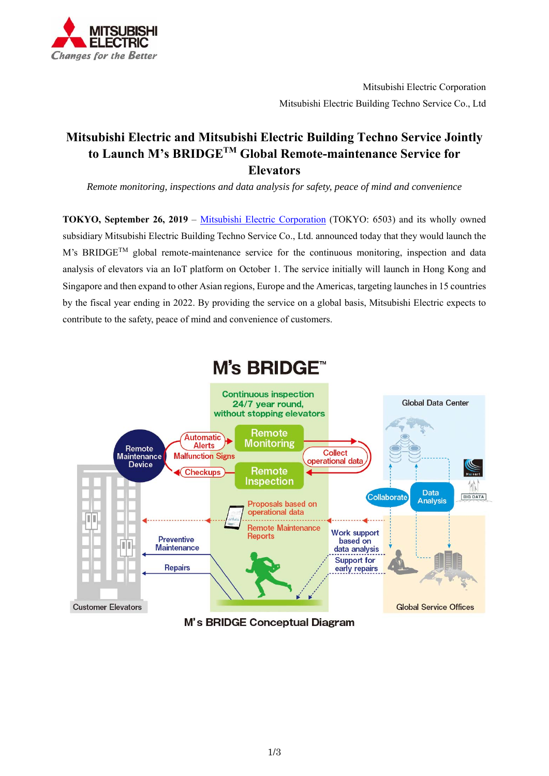

# **Mitsubishi Electric and Mitsubishi Electric Building Techno Service Jointly to Launch M's BRIDGETM Global Remote-maintenance Service for Elevators**

*Remote monitoring, inspections and data analysis for safety, peace of mind and convenience*

**TOKYO, September 26, 2019** – Mitsubishi Electric Corporation (TOKYO: 6503) and its wholly owned subsidiary Mitsubishi Electric Building Techno Service Co., Ltd. announced today that they would launch the M's BRIDGE<sup>TM</sup> global remote-maintenance service for the continuous monitoring, inspection and data analysis of elevators via an IoT platform on October 1. The service initially will launch in Hong Kong and Singapore and then expand to other Asian regions, Europe and the Americas, targeting launches in 15 countries by the fiscal year ending in 2022. By providing the service on a global basis, Mitsubishi Electric expects to contribute to the safety, peace of mind and convenience of customers.



M's BRIDGE Conceptual Diagram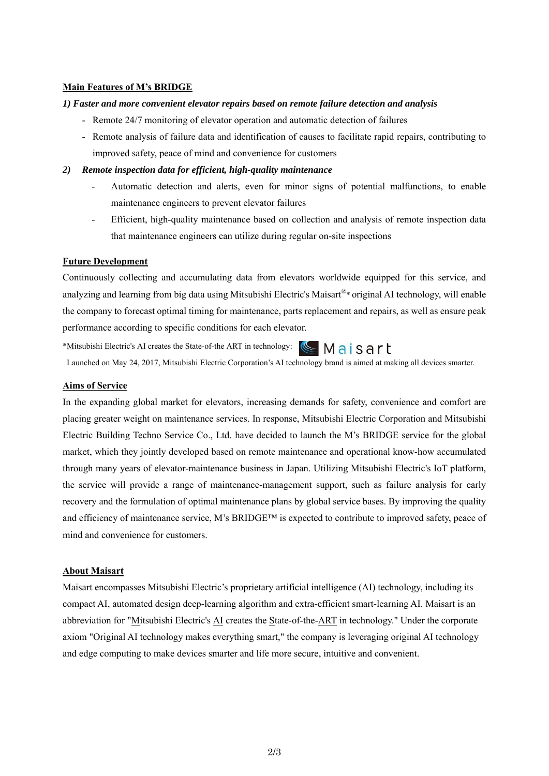### **Main Features of M's BRIDGE**

#### *1) Faster and more convenient elevator repairs based on remote failure detection and analysis*

- Remote 24/7 monitoring of elevator operation and automatic detection of failures
- Remote analysis of failure data and identification of causes to facilitate rapid repairs, contributing to improved safety, peace of mind and convenience for customers

#### *2) Remote inspection data for efficient, high-quality maintenance*

- Automatic detection and alerts, even for minor signs of potential malfunctions, to enable maintenance engineers to prevent elevator failures
- Efficient, high-quality maintenance based on collection and analysis of remote inspection data that maintenance engineers can utilize during regular on-site inspections

### **Future Development**

Continuously collecting and accumulating data from elevators worldwide equipped for this service, and analyzing and learning from big data using Mitsubishi Electric's Maisart®\* original AI technology, will enable the company to forecast optimal timing for maintenance, parts replacement and repairs, as well as ensure peak performance according to specific conditions for each elevator.

\*Mitsubishi Electric's AI creates the State-of-the ART in technology: <a>
Mais<br/>
Sart

Launched on May 24, 2017, Mitsubishi Electric Corporation's AI technology brand is aimed at making all devices smarter.

# **Aims of Service**

In the expanding global market for elevators, increasing demands for safety, convenience and comfort are placing greater weight on maintenance services. In response, Mitsubishi Electric Corporation and Mitsubishi Electric Building Techno Service Co., Ltd. have decided to launch the M's BRIDGE service for the global market, which they jointly developed based on remote maintenance and operational know-how accumulated through many years of elevator-maintenance business in Japan. Utilizing Mitsubishi Electric's IoT platform, the service will provide a range of maintenance-management support, such as failure analysis for early recovery and the formulation of optimal maintenance plans by global service bases. By improving the quality and efficiency of maintenance service, M's BRIDGE™ is expected to contribute to improved safety, peace of mind and convenience for customers.

# **About Maisart**

Maisart encompasses Mitsubishi Electric's proprietary artificial intelligence (AI) technology, including its compact AI, automated design deep-learning algorithm and extra-efficient smart-learning AI. Maisart is an abbreviation for "Mitsubishi Electric's AI creates the State-of-the-ART in technology." Under the corporate axiom "Original AI technology makes everything smart," the company is leveraging original AI technology and edge computing to make devices smarter and life more secure, intuitive and convenient.